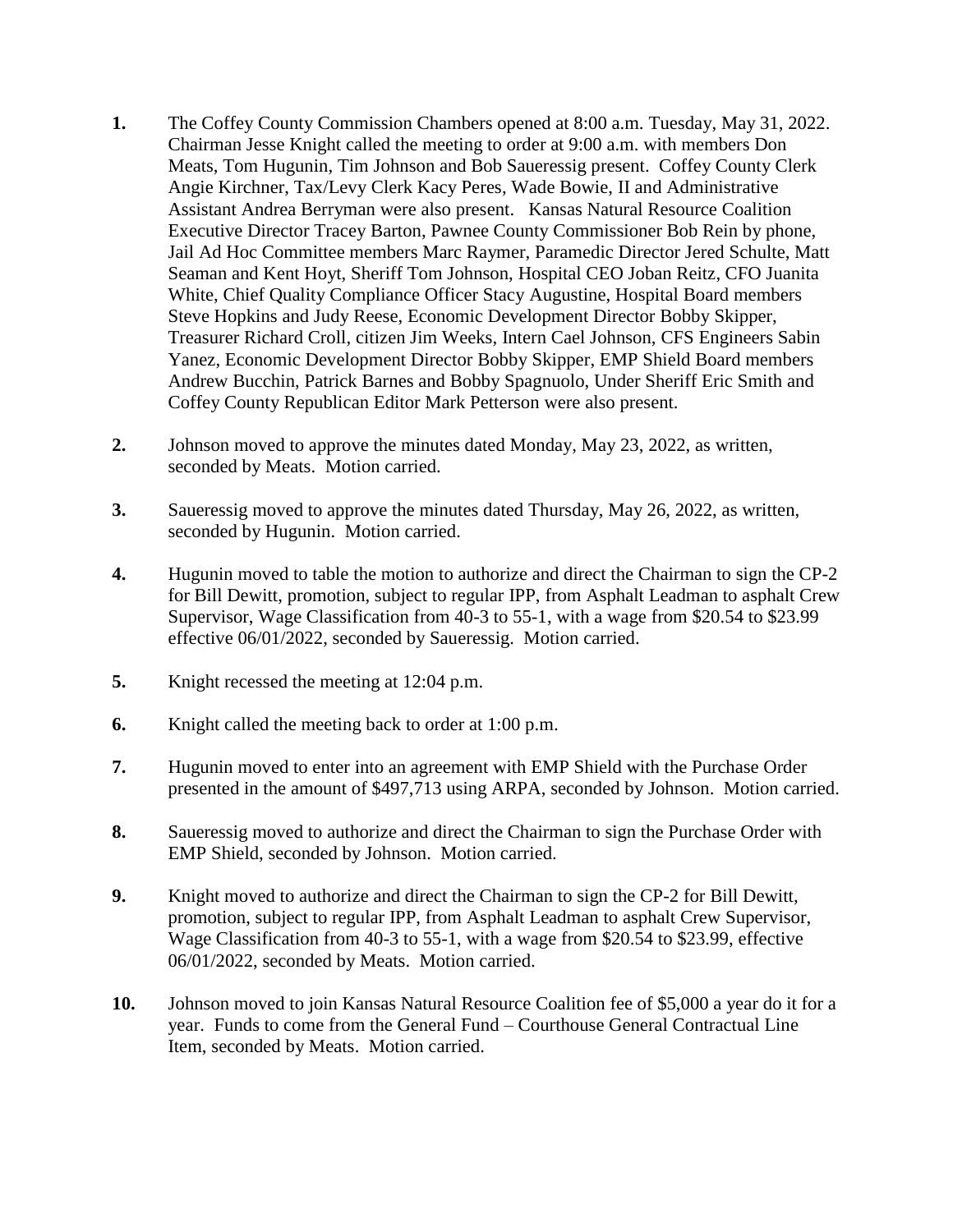- **1.** The Coffey County Commission Chambers opened at 8:00 a.m. Tuesday, May 31, 2022. Chairman Jesse Knight called the meeting to order at 9:00 a.m. with members Don Meats, Tom Hugunin, Tim Johnson and Bob Saueressig present. Coffey County Clerk Angie Kirchner, Tax/Levy Clerk Kacy Peres, Wade Bowie, II and Administrative Assistant Andrea Berryman were also present. Kansas Natural Resource Coalition Executive Director Tracey Barton, Pawnee County Commissioner Bob Rein by phone, Jail Ad Hoc Committee members Marc Raymer, Paramedic Director Jered Schulte, Matt Seaman and Kent Hoyt, Sheriff Tom Johnson, Hospital CEO Joban Reitz, CFO Juanita White, Chief Quality Compliance Officer Stacy Augustine, Hospital Board members Steve Hopkins and Judy Reese, Economic Development Director Bobby Skipper, Treasurer Richard Croll, citizen Jim Weeks, Intern Cael Johnson, CFS Engineers Sabin Yanez, Economic Development Director Bobby Skipper, EMP Shield Board members Andrew Bucchin, Patrick Barnes and Bobby Spagnuolo, Under Sheriff Eric Smith and Coffey County Republican Editor Mark Petterson were also present.
- **2.** Johnson moved to approve the minutes dated Monday, May 23, 2022, as written, seconded by Meats. Motion carried.
- **3.** Saueressig moved to approve the minutes dated Thursday, May 26, 2022, as written, seconded by Hugunin. Motion carried.
- **4.** Hugunin moved to table the motion to authorize and direct the Chairman to sign the CP-2 for Bill Dewitt, promotion, subject to regular IPP, from Asphalt Leadman to asphalt Crew Supervisor, Wage Classification from 40-3 to 55-1, with a wage from \$20.54 to \$23.99 effective 06/01/2022, seconded by Saueressig. Motion carried.
- **5.** Knight recessed the meeting at 12:04 p.m.
- **6.** Knight called the meeting back to order at 1:00 p.m.
- **7.** Hugunin moved to enter into an agreement with EMP Shield with the Purchase Order presented in the amount of \$497,713 using ARPA, seconded by Johnson. Motion carried.
- **8.** Saueressig moved to authorize and direct the Chairman to sign the Purchase Order with EMP Shield, seconded by Johnson. Motion carried.
- **9.** Knight moved to authorize and direct the Chairman to sign the CP-2 for Bill Dewitt, promotion, subject to regular IPP, from Asphalt Leadman to asphalt Crew Supervisor, Wage Classification from 40-3 to 55-1, with a wage from \$20.54 to \$23.99, effective 06/01/2022, seconded by Meats. Motion carried.
- **10.** Johnson moved to join Kansas Natural Resource Coalition fee of \$5,000 a year do it for a year. Funds to come from the General Fund – Courthouse General Contractual Line Item, seconded by Meats. Motion carried.